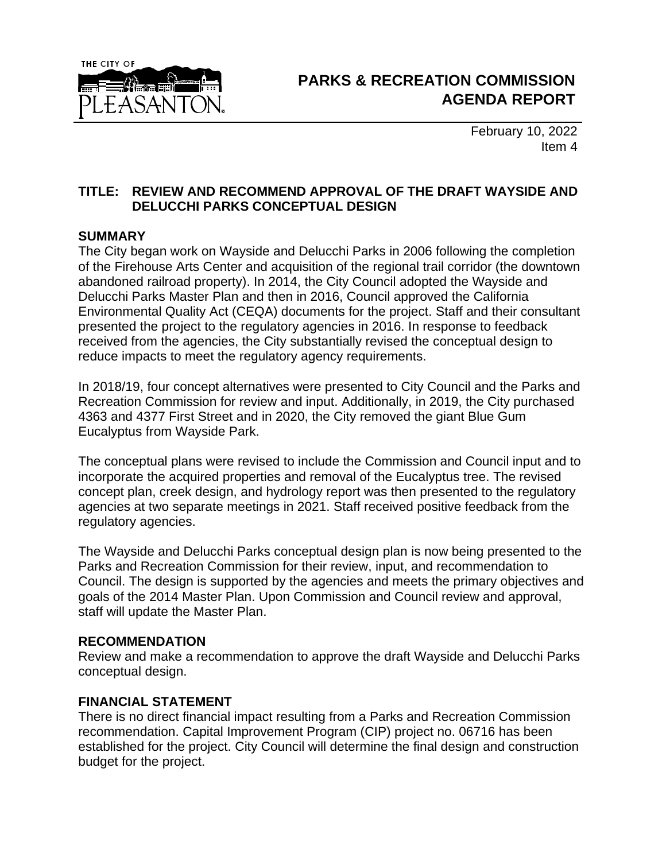

February 10, 2022 Item 4

## **TITLE: REVIEW AND RECOMMEND APPROVAL OF THE DRAFT WAYSIDE AND DELUCCHI PARKS CONCEPTUAL DESIGN**

#### **SUMMARY**

The City began work on Wayside and Delucchi Parks in 2006 following the completion of the Firehouse Arts Center and acquisition of the regional trail corridor (the downtown abandoned railroad property). In 2014, the City Council adopted the Wayside and Delucchi Parks Master Plan and then in 2016, Council approved the California Environmental Quality Act (CEQA) documents for the project. Staff and their consultant presented the project to the regulatory agencies in 2016. In response to feedback received from the agencies, the City substantially revised the conceptual design to reduce impacts to meet the regulatory agency requirements.

In 2018/19, four concept alternatives were presented to City Council and the Parks and Recreation Commission for review and input. Additionally, in 2019, the City purchased 4363 and 4377 First Street and in 2020, the City removed the giant Blue Gum Eucalyptus from Wayside Park.

The conceptual plans were revised to include the Commission and Council input and to incorporate the acquired properties and removal of the Eucalyptus tree. The revised concept plan, creek design, and hydrology report was then presented to the regulatory agencies at two separate meetings in 2021. Staff received positive feedback from the regulatory agencies.

The Wayside and Delucchi Parks conceptual design plan is now being presented to the Parks and Recreation Commission for their review, input, and recommendation to Council. The design is supported by the agencies and meets the primary objectives and goals of the 2014 Master Plan. Upon Commission and Council review and approval, staff will update the Master Plan.

### **RECOMMENDATION**

Review and make a recommendation to approve the draft Wayside and Delucchi Parks conceptual design.

### **FINANCIAL STATEMENT**

There is no direct financial impact resulting from a Parks and Recreation Commission recommendation. Capital Improvement Program (CIP) project no. 06716 has been established for the project. City Council will determine the final design and construction budget for the project.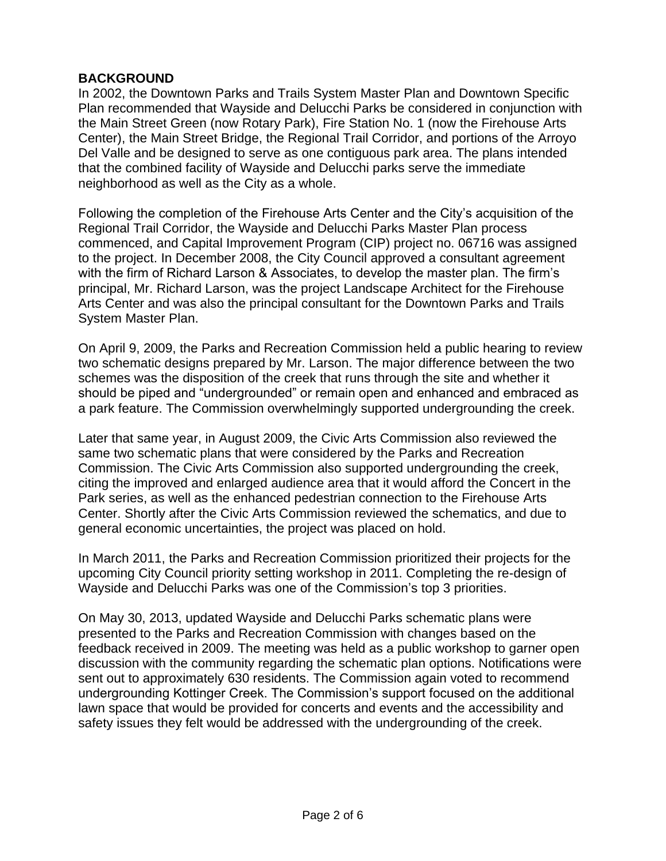## **BACKGROUND**

In 2002, the Downtown Parks and Trails System Master Plan and Downtown Specific Plan recommended that Wayside and Delucchi Parks be considered in conjunction with the Main Street Green (now Rotary Park), Fire Station No. 1 (now the Firehouse Arts Center), the Main Street Bridge, the Regional Trail Corridor, and portions of the Arroyo Del Valle and be designed to serve as one contiguous park area. The plans intended that the combined facility of Wayside and Delucchi parks serve the immediate neighborhood as well as the City as a whole.

Following the completion of the Firehouse Arts Center and the City's acquisition of the Regional Trail Corridor, the Wayside and Delucchi Parks Master Plan process commenced, and Capital Improvement Program (CIP) project no. 06716 was assigned to the project. In December 2008, the City Council approved a consultant agreement with the firm of Richard Larson & Associates, to develop the master plan. The firm's principal, Mr. Richard Larson, was the project Landscape Architect for the Firehouse Arts Center and was also the principal consultant for the Downtown Parks and Trails System Master Plan.

On April 9, 2009, the Parks and Recreation Commission held a public hearing to review two schematic designs prepared by Mr. Larson. The major difference between the two schemes was the disposition of the creek that runs through the site and whether it should be piped and "undergrounded" or remain open and enhanced and embraced as a park feature. The Commission overwhelmingly supported undergrounding the creek.

Later that same year, in August 2009, the Civic Arts Commission also reviewed the same two schematic plans that were considered by the Parks and Recreation Commission. The Civic Arts Commission also supported undergrounding the creek, citing the improved and enlarged audience area that it would afford the Concert in the Park series, as well as the enhanced pedestrian connection to the Firehouse Arts Center. Shortly after the Civic Arts Commission reviewed the schematics, and due to general economic uncertainties, the project was placed on hold.

In March 2011, the Parks and Recreation Commission prioritized their projects for the upcoming City Council priority setting workshop in 2011. Completing the re-design of Wayside and Delucchi Parks was one of the Commission's top 3 priorities.

On May 30, 2013, updated Wayside and Delucchi Parks schematic plans were presented to the Parks and Recreation Commission with changes based on the feedback received in 2009. The meeting was held as a public workshop to garner open discussion with the community regarding the schematic plan options. Notifications were sent out to approximately 630 residents. The Commission again voted to recommend undergrounding Kottinger Creek. The Commission's support focused on the additional lawn space that would be provided for concerts and events and the accessibility and safety issues they felt would be addressed with the undergrounding of the creek.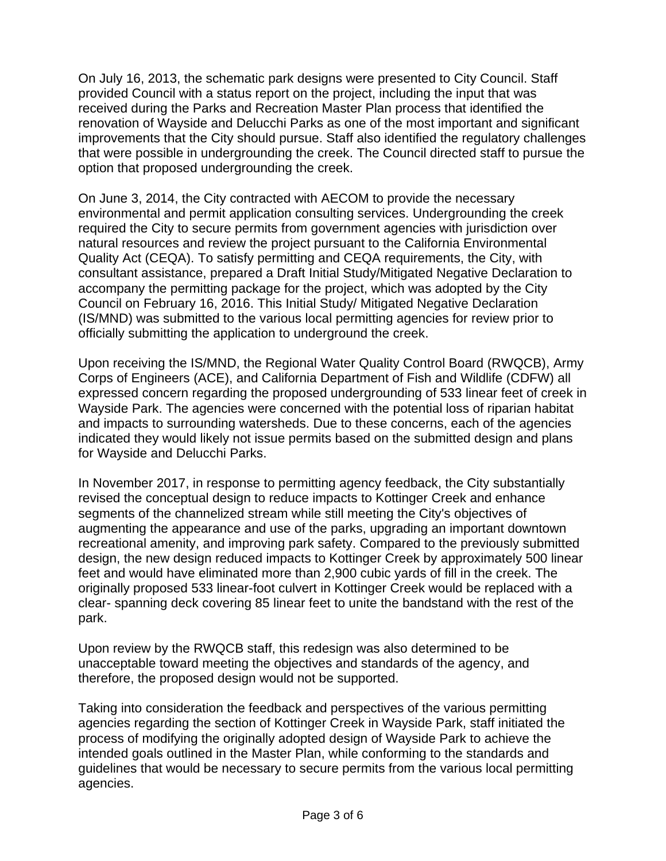On July 16, 2013, the schematic park designs were presented to City Council. Staff provided Council with a status report on the project, including the input that was received during the Parks and Recreation Master Plan process that identified the renovation of Wayside and Delucchi Parks as one of the most important and significant improvements that the City should pursue. Staff also identified the regulatory challenges that were possible in undergrounding the creek. The Council directed staff to pursue the option that proposed undergrounding the creek.

On June 3, 2014, the City contracted with AECOM to provide the necessary environmental and permit application consulting services. Undergrounding the creek required the City to secure permits from government agencies with jurisdiction over natural resources and review the project pursuant to the California Environmental Quality Act (CEQA). To satisfy permitting and CEQA requirements, the City, with consultant assistance, prepared a Draft Initial Study/Mitigated Negative Declaration to accompany the permitting package for the project, which was adopted by the City Council on February 16, 2016. This Initial Study/ Mitigated Negative Declaration (IS/MND) was submitted to the various local permitting agencies for review prior to officially submitting the application to underground the creek.

Upon receiving the IS/MND, the Regional Water Quality Control Board (RWQCB), Army Corps of Engineers (ACE), and California Department of Fish and Wildlife (CDFW) all expressed concern regarding the proposed undergrounding of 533 linear feet of creek in Wayside Park. The agencies were concerned with the potential loss of riparian habitat and impacts to surrounding watersheds. Due to these concerns, each of the agencies indicated they would likely not issue permits based on the submitted design and plans for Wayside and Delucchi Parks.

In November 2017, in response to permitting agency feedback, the City substantially revised the conceptual design to reduce impacts to Kottinger Creek and enhance segments of the channelized stream while still meeting the City's objectives of augmenting the appearance and use of the parks, upgrading an important downtown recreational amenity, and improving park safety. Compared to the previously submitted design, the new design reduced impacts to Kottinger Creek by approximately 500 linear feet and would have eliminated more than 2,900 cubic yards of fill in the creek. The originally proposed 533 linear-foot culvert in Kottinger Creek would be replaced with a clear- spanning deck covering 85 linear feet to unite the bandstand with the rest of the park.

Upon review by the RWQCB staff, this redesign was also determined to be unacceptable toward meeting the objectives and standards of the agency, and therefore, the proposed design would not be supported.

Taking into consideration the feedback and perspectives of the various permitting agencies regarding the section of Kottinger Creek in Wayside Park, staff initiated the process of modifying the originally adopted design of Wayside Park to achieve the intended goals outlined in the Master Plan, while conforming to the standards and guidelines that would be necessary to secure permits from the various local permitting agencies.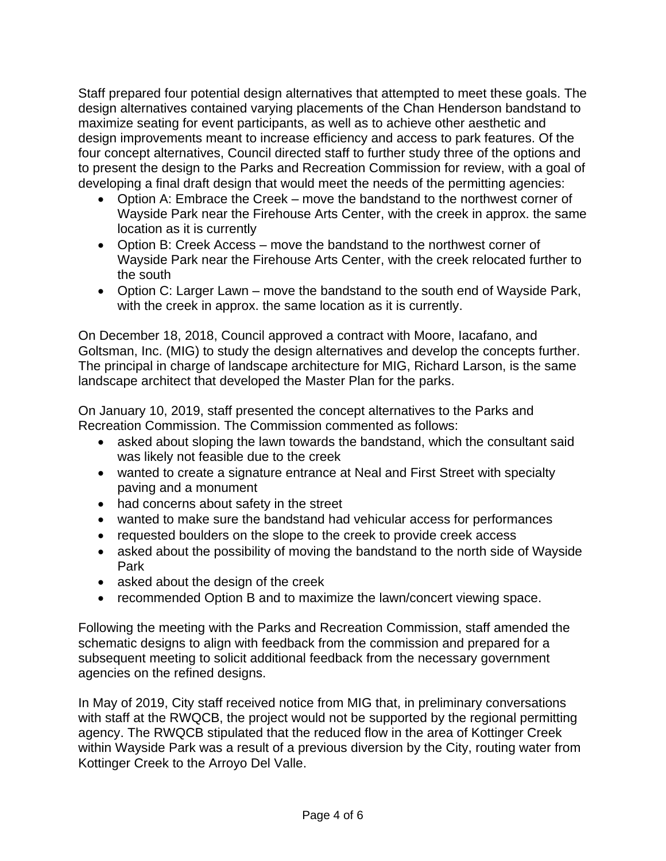Staff prepared four potential design alternatives that attempted to meet these goals. The design alternatives contained varying placements of the Chan Henderson bandstand to maximize seating for event participants, as well as to achieve other aesthetic and design improvements meant to increase efficiency and access to park features. Of the four concept alternatives, Council directed staff to further study three of the options and to present the design to the Parks and Recreation Commission for review, with a goal of developing a final draft design that would meet the needs of the permitting agencies:

- Option A: Embrace the Creek move the bandstand to the northwest corner of Wayside Park near the Firehouse Arts Center, with the creek in approx. the same location as it is currently
- Option B: Creek Access move the bandstand to the northwest corner of Wayside Park near the Firehouse Arts Center, with the creek relocated further to the south
- Option C: Larger Lawn move the bandstand to the south end of Wayside Park, with the creek in approx. the same location as it is currently.

On December 18, 2018, Council approved a contract with Moore, Iacafano, and Goltsman, Inc. (MIG) to study the design alternatives and develop the concepts further. The principal in charge of landscape architecture for MIG, Richard Larson, is the same landscape architect that developed the Master Plan for the parks.

On January 10, 2019, staff presented the concept alternatives to the Parks and Recreation Commission. The Commission commented as follows:

- asked about sloping the lawn towards the bandstand, which the consultant said was likely not feasible due to the creek
- wanted to create a signature entrance at Neal and First Street with specialty paving and a monument
- had concerns about safety in the street
- wanted to make sure the bandstand had vehicular access for performances
- requested boulders on the slope to the creek to provide creek access
- asked about the possibility of moving the bandstand to the north side of Wayside Park
- asked about the design of the creek
- recommended Option B and to maximize the lawn/concert viewing space.

Following the meeting with the Parks and Recreation Commission, staff amended the schematic designs to align with feedback from the commission and prepared for a subsequent meeting to solicit additional feedback from the necessary government agencies on the refined designs.

In May of 2019, City staff received notice from MIG that, in preliminary conversations with staff at the RWQCB, the project would not be supported by the regional permitting agency. The RWQCB stipulated that the reduced flow in the area of Kottinger Creek within Wayside Park was a result of a previous diversion by the City, routing water from Kottinger Creek to the Arroyo Del Valle.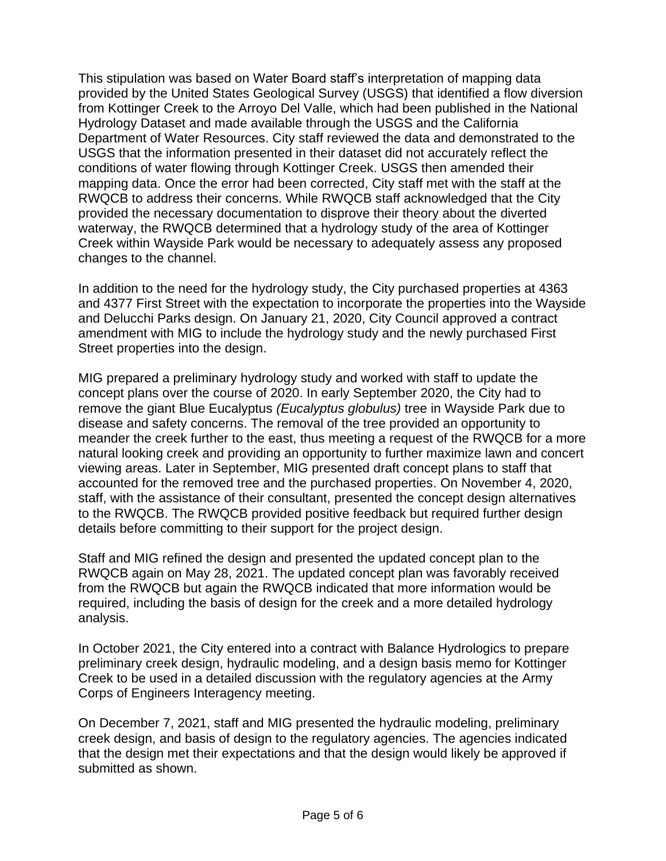This stipulation was based on Water Board staff's interpretation of mapping data provided by the United States Geological Survey (USGS) that identified a flow diversion from Kottinger Creek to the Arroyo Del Valle, which had been published in the National Hydrology Dataset and made available through the USGS and the California Department of Water Resources. City staff reviewed the data and demonstrated to the USGS that the information presented in their dataset did not accurately reflect the conditions of water flowing through Kottinger Creek. USGS then amended their mapping data. Once the error had been corrected, City staff met with the staff at the RWQCB to address their concerns. While RWQCB staff acknowledged that the City provided the necessary documentation to disprove their theory about the diverted waterway, the RWQCB determined that a hydrology study of the area of Kottinger Creek within Wayside Park would be necessary to adequately assess any proposed changes to the channel.

In addition to the need for the hydrology study, the City purchased properties at 4363 and 4377 First Street with the expectation to incorporate the properties into the Wayside and Delucchi Parks design. On January 21, 2020, City Council approved a contract amendment with MIG to include the hydrology study and the newly purchased First Street properties into the design.

MIG prepared a preliminary hydrology study and worked with staff to update the concept plans over the course of 2020. In early September 2020, the City had to remove the giant Blue Eucalyptus *(Eucalyptus globulus)* tree in Wayside Park due to disease and safety concerns. The removal of the tree provided an opportunity to meander the creek further to the east, thus meeting a request of the RWQCB for a more natural looking creek and providing an opportunity to further maximize lawn and concert viewing areas. Later in September, MIG presented draft concept plans to staff that accounted for the removed tree and the purchased properties. On November 4, 2020, staff, with the assistance of their consultant, presented the concept design alternatives to the RWQCB. The RWQCB provided positive feedback but required further design details before committing to their support for the project design.

Staff and MIG refined the design and presented the updated concept plan to the RWQCB again on May 28, 2021. The updated concept plan was favorably received from the RWQCB but again the RWQCB indicated that more information would be required, including the basis of design for the creek and a more detailed hydrology analysis.

In October 2021, the City entered into a contract with Balance Hydrologics to prepare preliminary creek design, hydraulic modeling, and a design basis memo for Kottinger Creek to be used in a detailed discussion with the regulatory agencies at the Army Corps of Engineers Interagency meeting.

On December 7, 2021, staff and MIG presented the hydraulic modeling, preliminary creek design, and basis of design to the regulatory agencies. The agencies indicated that the design met their expectations and that the design would likely be approved if submitted as shown.